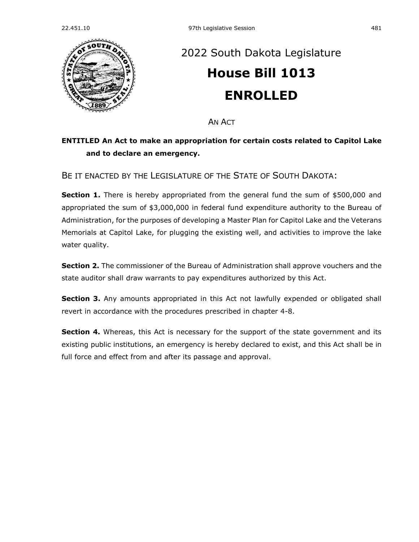

## [2022 South Dakota Legislature](https://sdlegislature.gov/Session/Bills/64) **[House Bill 1013](https://sdlegislature.gov/Session/Bill/23022) ENROLLED**

AN ACT

## **ENTITLED An Act to make an appropriation for certain costs related to Capitol Lake and to declare an emergency.**

BE IT ENACTED BY THE LEGISLATURE OF THE STATE OF SOUTH DAKOTA:

**Section 1.** There is hereby appropriated from the general fund the sum of \$500,000 and appropriated the sum of \$3,000,000 in federal fund expenditure authority to the Bureau of Administration, for the purposes of developing a Master Plan for Capitol Lake and the Veterans Memorials at Capitol Lake, for plugging the existing well, and activities to improve the lake water quality.

**Section 2.** The commissioner of the Bureau of Administration shall approve vouchers and the state auditor shall draw warrants to pay expenditures authorized by this Act.

**Section 3.** Any amounts appropriated in this Act not lawfully expended or obligated shall revert in accordance with the procedures prescribed in chapter [4-8.](https://sdlegislature.gov/Statutes?Statute=4-8)

**Section 4.** Whereas, this Act is necessary for the support of the state government and its existing public institutions, an emergency is hereby declared to exist, and this Act shall be in full force and effect from and after its passage and approval.